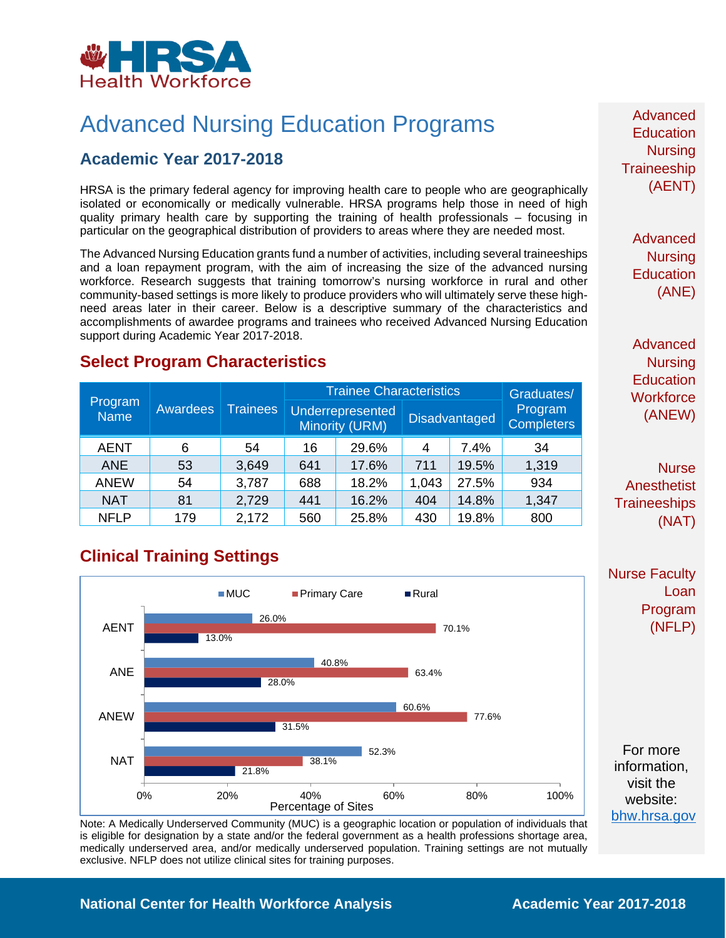

# Advanced Nursing Education Programs

#### **Academic Year 2017-2018**

HRSA is the primary federal agency for improving health care to people who are geographically isolated or economically or medically vulnerable. HRSA programs help those in need of high quality primary health care by supporting the training of health professionals – focusing in particular on the geographical distribution of providers to areas where they are needed most.

The Advanced Nursing Education grants fund a number of activities, including several traineeships and a loan repayment program, with the aim of increasing the size of the advanced nursing workforce. Research suggests that training tomorrow's nursing workforce in rural and other community-based settings is more likely to produce providers who will ultimately serve these highneed areas later in their career. Below is a descriptive summary of the characteristics and accomplishments of awardee programs and trainees who received Advanced Nursing Education support during Academic Year 2017-2018.

#### **Select Program Characteristics**

| Program<br><b>Name</b> | Awardees | <b>Trainees</b> | <b>Trainee Characteristics</b>            |       |                      |       | Graduates/                   |
|------------------------|----------|-----------------|-------------------------------------------|-------|----------------------|-------|------------------------------|
|                        |          |                 | Underrepresented<br><b>Minority (URM)</b> |       | <b>Disadvantaged</b> |       | Program<br><b>Completers</b> |
| <b>AENT</b>            | 6        | 54              | 16                                        | 29.6% | 4                    | 7.4%  | 34                           |
| <b>ANE</b>             | 53       | 3,649           | 641                                       | 17.6% | 711                  | 19.5% | 1,319                        |
| <b>ANEW</b>            | 54       | 3,787           | 688                                       | 18.2% | 1,043                | 27.5% | 934                          |
| <b>NAT</b>             | 81       | 2,729           | 441                                       | 16.2% | 404                  | 14.8% | 1,347                        |
| <b>NFLP</b>            | 179      | 2,172           | 560                                       | 25.8% | 430                  | 19.8% | 800                          |

# **Clinical Training Settings**



Note: A Medically Underserved Community (MUC) is a geographic location or population of individuals that is eligible for designation by a state and/or the federal government as a health professions shortage area, medically underserved area, and/or medically underserved population. Training settings are not mutually exclusive. NFLP does not utilize clinical sites for training purposes.

Advanced **Education Nursing Traineeship** (AENT)

> Advanced **Nursing Education** (ANE)

Advanced **Nursing Education Workforce** (ANEW)

**Nurse Anesthetist Traineeships** (NAT)

Nurse Faculty Loan Program (NFLP)

For more information, visit the website: [bhw.hrsa.gov](http://bhw.hrsa.gov/)